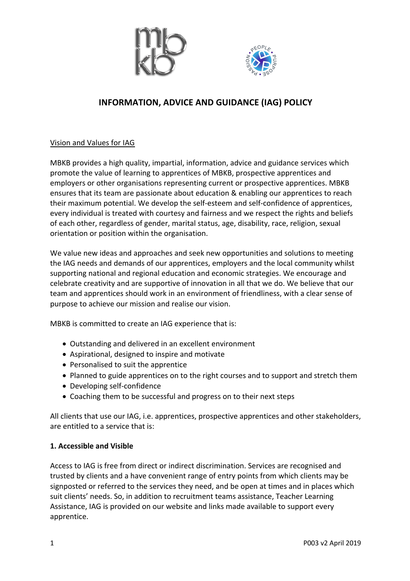



# **INFORMATION, ADVICE AND GUIDANCE (IAG) POLICY**

Vision and Values for IAG

MBKB provides a high quality, impartial, information, advice and guidance services which promote the value of learning to apprentices of MBKB, prospective apprentices and employers or other organisations representing current or prospective apprentices. MBKB ensures that its team are passionate about education & enabling our apprentices to reach their maximum potential. We develop the self-esteem and self-confidence of apprentices, every individual is treated with courtesy and fairness and we respect the rights and beliefs of each other, regardless of gender, marital status, age, disability, race, religion, sexual orientation or position within the organisation.

We value new ideas and approaches and seek new opportunities and solutions to meeting the IAG needs and demands of our apprentices, employers and the local community whilst supporting national and regional education and economic strategies. We encourage and celebrate creativity and are supportive of innovation in all that we do. We believe that our team and apprentices should work in an environment of friendliness, with a clear sense of purpose to achieve our mission and realise our vision.

MBKB is committed to create an IAG experience that is:

- Outstanding and delivered in an excellent environment
- Aspirational, designed to inspire and motivate
- Personalised to suit the apprentice
- Planned to guide apprentices on to the right courses and to support and stretch them
- Developing self-confidence
- Coaching them to be successful and progress on to their next steps

All clients that use our IAG, i.e. apprentices, prospective apprentices and other stakeholders, are entitled to a service that is:

#### **1. Accessible and Visible**

Access to IAG is free from direct or indirect discrimination. Services are recognised and trusted by clients and a have convenient range of entry points from which clients may be signposted or referred to the services they need, and be open at times and in places which suit clients' needs. So, in addition to recruitment teams assistance, Teacher Learning Assistance, IAG is provided on our website and links made available to support every apprentice.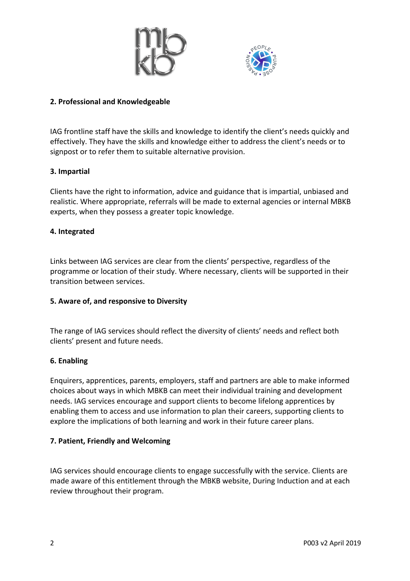



## **2. Professional and Knowledgeable**

IAG frontline staff have the skills and knowledge to identify the client's needs quickly and effectively. They have the skills and knowledge either to address the client's needs or to signpost or to refer them to suitable alternative provision.

## **3. Impartial**

Clients have the right to information, advice and guidance that is impartial, unbiased and realistic. Where appropriate, referrals will be made to external agencies or internal MBKB experts, when they possess a greater topic knowledge.

## **4. Integrated**

Links between IAG services are clear from the clients' perspective, regardless of the programme or location of their study. Where necessary, clients will be supported in their transition between services.

## **5. Aware of, and responsive to Diversity**

The range of IAG services should reflect the diversity of clients' needs and reflect both clients' present and future needs.

## **6. Enabling**

Enquirers, apprentices, parents, employers, staff and partners are able to make informed choices about ways in which MBKB can meet their individual training and development needs. IAG services encourage and support clients to become lifelong apprentices by enabling them to access and use information to plan their careers, supporting clients to explore the implications of both learning and work in their future career plans.

## **7. Patient, Friendly and Welcoming**

IAG services should encourage clients to engage successfully with the service. Clients are made aware of this entitlement through the MBKB website, During Induction and at each review throughout their program.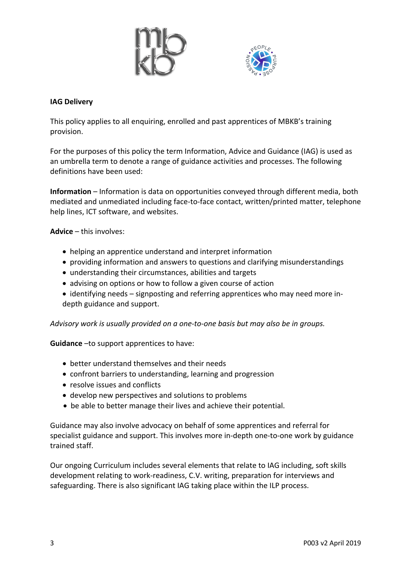



#### **IAG Delivery**

This policy applies to all enquiring, enrolled and past apprentices of MBKB's training provision.

For the purposes of this policy the term Information, Advice and Guidance (IAG) is used as an umbrella term to denote a range of guidance activities and processes. The following definitions have been used:

**Information** – Information is data on opportunities conveyed through different media, both mediated and unmediated including face-to-face contact, written/printed matter, telephone help lines, ICT software, and websites.

**Advice** – this involves:

- helping an apprentice understand and interpret information
- providing information and answers to questions and clarifying misunderstandings
- understanding their circumstances, abilities and targets
- advising on options or how to follow a given course of action
- identifying needs signposting and referring apprentices who may need more indepth guidance and support.

*Advisory work is usually provided on a one-to-one basis but may also be in groups.* 

**Guidance** –to support apprentices to have:

- better understand themselves and their needs
- confront barriers to understanding, learning and progression
- resolve issues and conflicts
- develop new perspectives and solutions to problems
- be able to better manage their lives and achieve their potential.

Guidance may also involve advocacy on behalf of some apprentices and referral for specialist guidance and support. This involves more in-depth one-to-one work by guidance trained staff.

Our ongoing Curriculum includes several elements that relate to IAG including, soft skills development relating to work-readiness, C.V. writing, preparation for interviews and safeguarding. There is also significant IAG taking place within the ILP process.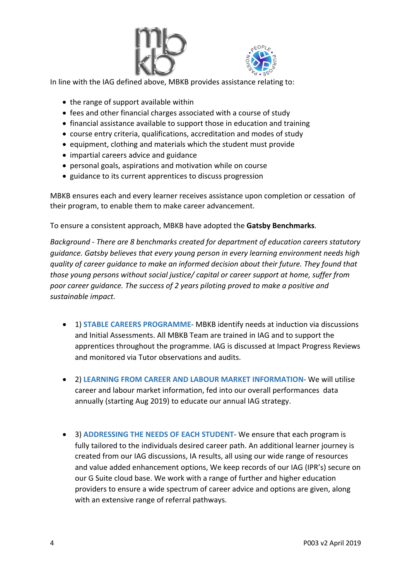



In line with the IAG defined above, MBKB provides assistance relating to:

- the range of support available within
- fees and other financial charges associated with a course of study
- financial assistance available to support those in education and training
- course entry criteria, qualifications, accreditation and modes of study
- equipment, clothing and materials which the student must provide
- impartial careers advice and guidance
- personal goals, aspirations and motivation while on course
- guidance to its current apprentices to discuss progression

MBKB ensures each and every learner receives assistance upon completion or cessation of their program, to enable them to make career advancement.

To ensure a consistent approach, MBKB have adopted the **Gatsby Benchmarks**.

*Background - There are 8 benchmarks created for department of education careers statutory guidance. Gatsby believes that every young person in every learning environment needs high quality of career guidance to make an informed decision about their future. They found that those young persons without social justice/ capital or career support at home, suffer from poor career guidance. The success of 2 years piloting proved to make a positive and sustainable impact.*

- 1) **STABLE CAREERS PROGRAMME** MBKB identify needs at induction via discussions and Initial Assessments. All MBKB Team are trained in IAG and to support the apprentices throughout the programme. IAG is discussed at Impact Progress Reviews and monitored via Tutor observations and audits.
- 2) **LEARNING FROM CAREER AND LABOUR MARKET INFORMATION** We will utilise career and labour market information, fed into our overall performances data annually (starting Aug 2019) to educate our annual IAG strategy.
- 3) **ADDRESSING THE NEEDS OF EACH STUDENT** We ensure that each program is fully tailored to the individuals desired career path. An additional learner journey is created from our IAG discussions, IA results, all using our wide range of resources and value added enhancement options, We keep records of our IAG (IPR's) secure on our G Suite cloud base. We work with a range of further and higher education providers to ensure a wide spectrum of career advice and options are given, along with an extensive range of referral pathways.